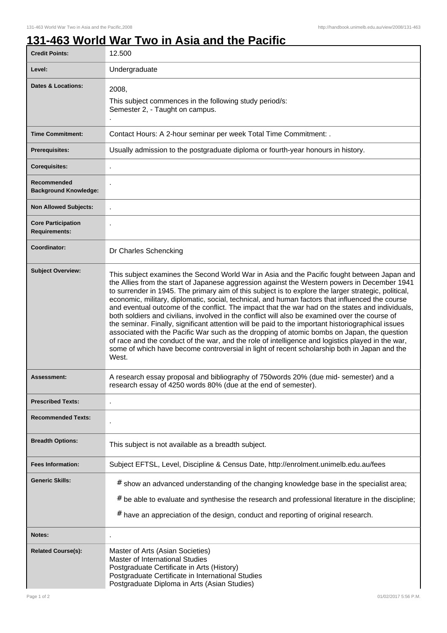## **131-463 World War Two in Asia and the Pacific**

| <b>Credit Points:</b>                             | 12.500                                                                                                                                                                                                                                                                                                                                                                                                                                                                                                                                                                                                                                                                                                                                                                                                                                                                                                                                                                                                                          |
|---------------------------------------------------|---------------------------------------------------------------------------------------------------------------------------------------------------------------------------------------------------------------------------------------------------------------------------------------------------------------------------------------------------------------------------------------------------------------------------------------------------------------------------------------------------------------------------------------------------------------------------------------------------------------------------------------------------------------------------------------------------------------------------------------------------------------------------------------------------------------------------------------------------------------------------------------------------------------------------------------------------------------------------------------------------------------------------------|
| Level:                                            | Undergraduate                                                                                                                                                                                                                                                                                                                                                                                                                                                                                                                                                                                                                                                                                                                                                                                                                                                                                                                                                                                                                   |
| <b>Dates &amp; Locations:</b>                     | 2008,<br>This subject commences in the following study period/s:<br>Semester 2, - Taught on campus.                                                                                                                                                                                                                                                                                                                                                                                                                                                                                                                                                                                                                                                                                                                                                                                                                                                                                                                             |
| <b>Time Commitment:</b>                           | Contact Hours: A 2-hour seminar per week Total Time Commitment: .                                                                                                                                                                                                                                                                                                                                                                                                                                                                                                                                                                                                                                                                                                                                                                                                                                                                                                                                                               |
| <b>Prerequisites:</b>                             | Usually admission to the postgraduate diploma or fourth-year honours in history.                                                                                                                                                                                                                                                                                                                                                                                                                                                                                                                                                                                                                                                                                                                                                                                                                                                                                                                                                |
| <b>Corequisites:</b>                              |                                                                                                                                                                                                                                                                                                                                                                                                                                                                                                                                                                                                                                                                                                                                                                                                                                                                                                                                                                                                                                 |
| Recommended<br><b>Background Knowledge:</b>       |                                                                                                                                                                                                                                                                                                                                                                                                                                                                                                                                                                                                                                                                                                                                                                                                                                                                                                                                                                                                                                 |
| <b>Non Allowed Subjects:</b>                      |                                                                                                                                                                                                                                                                                                                                                                                                                                                                                                                                                                                                                                                                                                                                                                                                                                                                                                                                                                                                                                 |
| <b>Core Participation</b><br><b>Requirements:</b> |                                                                                                                                                                                                                                                                                                                                                                                                                                                                                                                                                                                                                                                                                                                                                                                                                                                                                                                                                                                                                                 |
| Coordinator:                                      | Dr Charles Schencking                                                                                                                                                                                                                                                                                                                                                                                                                                                                                                                                                                                                                                                                                                                                                                                                                                                                                                                                                                                                           |
| <b>Subject Overview:</b>                          | This subject examines the Second World War in Asia and the Pacific fought between Japan and<br>the Allies from the start of Japanese aggression against the Western powers in December 1941<br>to surrender in 1945. The primary aim of this subject is to explore the larger strategic, political,<br>economic, military, diplomatic, social, technical, and human factors that influenced the course<br>and eventual outcome of the conflict. The impact that the war had on the states and individuals,<br>both soldiers and civilians, involved in the conflict will also be examined over the course of<br>the seminar. Finally, significant attention will be paid to the important historiographical issues<br>associated with the Pacific War such as the dropping of atomic bombs on Japan, the question<br>of race and the conduct of the war, and the role of intelligence and logistics played in the war,<br>some of which have become controversial in light of recent scholarship both in Japan and the<br>West. |
| <b>Assessment:</b>                                | A research essay proposal and bibliography of 750words 20% (due mid- semester) and a<br>research essay of 4250 words 80% (due at the end of semester).                                                                                                                                                                                                                                                                                                                                                                                                                                                                                                                                                                                                                                                                                                                                                                                                                                                                          |
| <b>Prescribed Texts:</b>                          |                                                                                                                                                                                                                                                                                                                                                                                                                                                                                                                                                                                                                                                                                                                                                                                                                                                                                                                                                                                                                                 |
| <b>Recommended Texts:</b>                         |                                                                                                                                                                                                                                                                                                                                                                                                                                                                                                                                                                                                                                                                                                                                                                                                                                                                                                                                                                                                                                 |
| <b>Breadth Options:</b>                           | This subject is not available as a breadth subject.                                                                                                                                                                                                                                                                                                                                                                                                                                                                                                                                                                                                                                                                                                                                                                                                                                                                                                                                                                             |
| <b>Fees Information:</b>                          | Subject EFTSL, Level, Discipline & Census Date, http://enrolment.unimelb.edu.au/fees                                                                                                                                                                                                                                                                                                                                                                                                                                                                                                                                                                                                                                                                                                                                                                                                                                                                                                                                            |
| <b>Generic Skills:</b>                            | # show an advanced understanding of the changing knowledge base in the specialist area;<br>$#$ be able to evaluate and synthesise the research and professional literature in the discipline;<br>$#$ have an appreciation of the design, conduct and reporting of original research.                                                                                                                                                                                                                                                                                                                                                                                                                                                                                                                                                                                                                                                                                                                                            |
| Notes:                                            |                                                                                                                                                                                                                                                                                                                                                                                                                                                                                                                                                                                                                                                                                                                                                                                                                                                                                                                                                                                                                                 |
| <b>Related Course(s):</b>                         | Master of Arts (Asian Societies)<br>Master of International Studies<br>Postgraduate Certificate in Arts (History)<br>Postgraduate Certificate in International Studies<br>Postgraduate Diploma in Arts (Asian Studies)                                                                                                                                                                                                                                                                                                                                                                                                                                                                                                                                                                                                                                                                                                                                                                                                          |